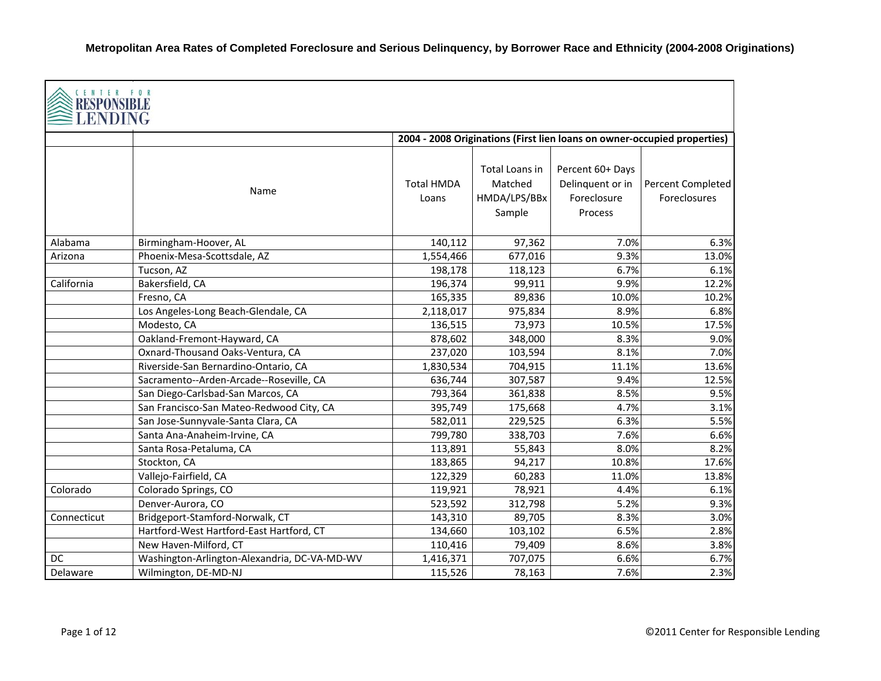| CENTER FOR<br>RESPONSIBLE<br><b>LENDING</b> |                                              |                            |                                                     |                                                                |                                                                          |
|---------------------------------------------|----------------------------------------------|----------------------------|-----------------------------------------------------|----------------------------------------------------------------|--------------------------------------------------------------------------|
|                                             |                                              |                            |                                                     |                                                                | 2004 - 2008 Originations (First lien loans on owner-occupied properties) |
|                                             | Name                                         | <b>Total HMDA</b><br>Loans | Total Loans in<br>Matched<br>HMDA/LPS/BBx<br>Sample | Percent 60+ Days<br>Delinquent or in<br>Foreclosure<br>Process | Percent Completed<br>Foreclosures                                        |
| Alabama                                     | Birmingham-Hoover, AL                        | 140,112                    | 97,362                                              | 7.0%                                                           | 6.3%                                                                     |
| Arizona                                     | Phoenix-Mesa-Scottsdale, AZ                  | 1,554,466                  | 677,016                                             | 9.3%                                                           | 13.0%                                                                    |
|                                             | Tucson, AZ                                   | 198,178                    | 118,123                                             | 6.7%                                                           | 6.1%                                                                     |
| California                                  | Bakersfield, CA                              | 196,374                    | 99,911                                              | 9.9%                                                           | 12.2%                                                                    |
|                                             | Fresno, CA                                   | 165,335                    | 89,836                                              | 10.0%                                                          | 10.2%                                                                    |
|                                             | Los Angeles-Long Beach-Glendale, CA          | 2,118,017                  | 975,834                                             | 8.9%                                                           | 6.8%                                                                     |
|                                             | Modesto, CA                                  | 136,515                    | 73,973                                              | 10.5%                                                          | 17.5%                                                                    |
|                                             | Oakland-Fremont-Hayward, CA                  | 878,602                    | 348,000                                             | 8.3%                                                           | 9.0%                                                                     |
|                                             | Oxnard-Thousand Oaks-Ventura, CA             | 237,020                    | 103,594                                             | 8.1%                                                           | 7.0%                                                                     |
|                                             | Riverside-San Bernardino-Ontario, CA         | 1,830,534                  | 704,915                                             | 11.1%                                                          | 13.6%                                                                    |
|                                             | Sacramento--Arden-Arcade--Roseville, CA      | 636,744                    | 307,587                                             | 9.4%                                                           | 12.5%                                                                    |
|                                             | San Diego-Carlsbad-San Marcos, CA            | 793,364                    | 361,838                                             | 8.5%                                                           | 9.5%                                                                     |
|                                             | San Francisco-San Mateo-Redwood City, CA     | 395,749                    | 175,668                                             | 4.7%                                                           | 3.1%                                                                     |
|                                             | San Jose-Sunnyvale-Santa Clara, CA           | 582,011                    | 229,525                                             | 6.3%                                                           | 5.5%                                                                     |
|                                             | Santa Ana-Anaheim-Irvine, CA                 | 799,780                    | 338,703                                             | 7.6%                                                           | 6.6%                                                                     |
|                                             | Santa Rosa-Petaluma, CA                      | 113,891                    | 55,843                                              | 8.0%                                                           | 8.2%                                                                     |
|                                             | Stockton, CA                                 | 183,865                    | 94,217                                              | 10.8%                                                          | 17.6%                                                                    |
|                                             | Vallejo-Fairfield, CA                        | 122,329                    | 60,283                                              | 11.0%                                                          | 13.8%                                                                    |
| Colorado                                    | Colorado Springs, CO                         | 119,921                    | 78,921                                              | 4.4%                                                           | 6.1%                                                                     |
|                                             | Denver-Aurora, CO                            | 523,592                    | 312,798                                             | 5.2%                                                           | 9.3%                                                                     |
| Connecticut                                 | Bridgeport-Stamford-Norwalk, CT              | 143,310                    | 89,705                                              | 8.3%                                                           | 3.0%                                                                     |
|                                             | Hartford-West Hartford-East Hartford, CT     | 134,660                    | 103,102                                             | 6.5%                                                           | 2.8%                                                                     |
|                                             | New Haven-Milford, CT                        | 110,416                    | 79,409                                              | 8.6%                                                           | 3.8%                                                                     |
| DC                                          | Washington-Arlington-Alexandria, DC-VA-MD-WV | 1,416,371                  | 707,075                                             | 6.6%                                                           | 6.7%                                                                     |
| Delaware                                    | Wilmington, DE-MD-NJ                         | 115,526                    | 78,163                                              | 7.6%                                                           | 2.3%                                                                     |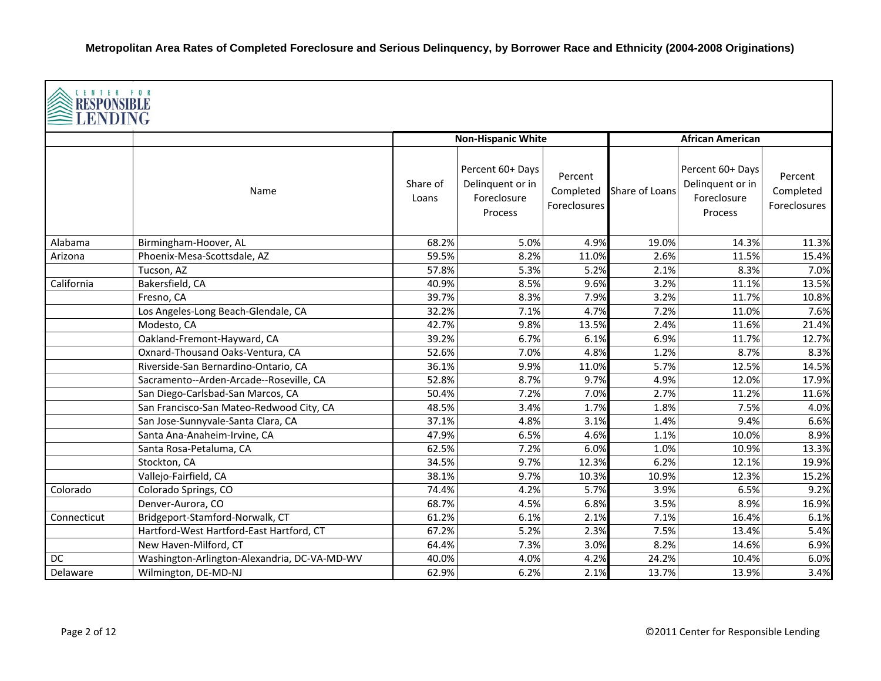|             | CENTER FOR<br><b>RESPONSIBLE</b><br>LENDING  |                   |                                                                |                                      |                |                                                                       |                                      |  |  |  |
|-------------|----------------------------------------------|-------------------|----------------------------------------------------------------|--------------------------------------|----------------|-----------------------------------------------------------------------|--------------------------------------|--|--|--|
|             |                                              |                   | <b>Non-Hispanic White</b>                                      |                                      |                | <b>African American</b>                                               |                                      |  |  |  |
|             | Name                                         | Share of<br>Loans | Percent 60+ Days<br>Delinquent or in<br>Foreclosure<br>Process | Percent<br>Completed<br>Foreclosures | Share of Loans | Percent 60+ Days<br>Delinquent or in<br>Foreclosure<br><b>Process</b> | Percent<br>Completed<br>Foreclosures |  |  |  |
| Alabama     | Birmingham-Hoover, AL                        | 68.2%             | 5.0%                                                           | 4.9%                                 | 19.0%          | 14.3%                                                                 | 11.3%                                |  |  |  |
| Arizona     | Phoenix-Mesa-Scottsdale, AZ                  | 59.5%             | 8.2%                                                           | 11.0%                                | 2.6%           | 11.5%                                                                 | 15.4%                                |  |  |  |
|             | Tucson, AZ                                   | 57.8%             | 5.3%                                                           | 5.2%                                 | 2.1%           | 8.3%                                                                  | 7.0%                                 |  |  |  |
| California  | Bakersfield, CA                              | 40.9%             | 8.5%                                                           | 9.6%                                 | 3.2%           | 11.1%                                                                 | 13.5%                                |  |  |  |
|             | Fresno, CA                                   | 39.7%             | 8.3%                                                           | 7.9%                                 | 3.2%           | 11.7%                                                                 | 10.8%                                |  |  |  |
|             | Los Angeles-Long Beach-Glendale, CA          | 32.2%             | 7.1%                                                           | 4.7%                                 | 7.2%           | 11.0%                                                                 | 7.6%                                 |  |  |  |
|             | Modesto, CA                                  | 42.7%             | 9.8%                                                           | 13.5%                                | 2.4%           | 11.6%                                                                 | 21.4%                                |  |  |  |
|             | Oakland-Fremont-Hayward, CA                  | 39.2%             | 6.7%                                                           | 6.1%                                 | 6.9%           | 11.7%                                                                 | 12.7%                                |  |  |  |
|             | Oxnard-Thousand Oaks-Ventura, CA             | 52.6%             | 7.0%                                                           | 4.8%                                 | 1.2%           | 8.7%                                                                  | 8.3%                                 |  |  |  |
|             | Riverside-San Bernardino-Ontario, CA         | 36.1%             | 9.9%                                                           | 11.0%                                | 5.7%           | 12.5%                                                                 | 14.5%                                |  |  |  |
|             | Sacramento--Arden-Arcade--Roseville, CA      | 52.8%             | 8.7%                                                           | 9.7%                                 | 4.9%           | 12.0%                                                                 | 17.9%                                |  |  |  |
|             | San Diego-Carlsbad-San Marcos, CA            | 50.4%             | 7.2%                                                           | 7.0%                                 | 2.7%           | 11.2%                                                                 | 11.6%                                |  |  |  |
|             | San Francisco-San Mateo-Redwood City, CA     | 48.5%             | 3.4%                                                           | 1.7%                                 | 1.8%           | 7.5%                                                                  | 4.0%                                 |  |  |  |
|             | San Jose-Sunnyvale-Santa Clara, CA           | 37.1%             | 4.8%                                                           | 3.1%                                 | 1.4%           | 9.4%                                                                  | 6.6%                                 |  |  |  |
|             | Santa Ana-Anaheim-Irvine, CA                 | 47.9%             | 6.5%                                                           | 4.6%                                 | 1.1%           | 10.0%                                                                 | 8.9%                                 |  |  |  |
|             | Santa Rosa-Petaluma, CA                      | 62.5%             | 7.2%                                                           | 6.0%                                 | 1.0%           | 10.9%                                                                 | 13.3%                                |  |  |  |
|             | Stockton, CA                                 | 34.5%             | 9.7%                                                           | 12.3%                                | 6.2%           | 12.1%                                                                 | 19.9%                                |  |  |  |
|             | Vallejo-Fairfield, CA                        | 38.1%             | 9.7%                                                           | 10.3%                                | 10.9%          | 12.3%                                                                 | 15.2%                                |  |  |  |
| Colorado    | Colorado Springs, CO                         | 74.4%             | 4.2%                                                           | 5.7%                                 | 3.9%           | 6.5%                                                                  | 9.2%                                 |  |  |  |
|             | Denver-Aurora, CO                            | 68.7%             | 4.5%                                                           | 6.8%                                 | 3.5%           | 8.9%                                                                  | 16.9%                                |  |  |  |
| Connecticut | Bridgeport-Stamford-Norwalk, CT              | 61.2%             | 6.1%                                                           | 2.1%                                 | 7.1%           | 16.4%                                                                 | 6.1%                                 |  |  |  |
|             | Hartford-West Hartford-East Hartford, CT     | 67.2%             | 5.2%                                                           | 2.3%                                 | 7.5%           | 13.4%                                                                 | 5.4%                                 |  |  |  |
|             | New Haven-Milford, CT                        | 64.4%             | 7.3%                                                           | 3.0%                                 | 8.2%           | 14.6%                                                                 | 6.9%                                 |  |  |  |
| DC          | Washington-Arlington-Alexandria, DC-VA-MD-WV | 40.0%             | 4.0%                                                           | 4.2%                                 | 24.2%          | 10.4%                                                                 | 6.0%                                 |  |  |  |
| Delaware    | Wilmington, DE-MD-NJ                         | 62.9%             | 6.2%                                                           | 2.1%                                 | 13.7%          | 13.9%                                                                 | 3.4%                                 |  |  |  |

Г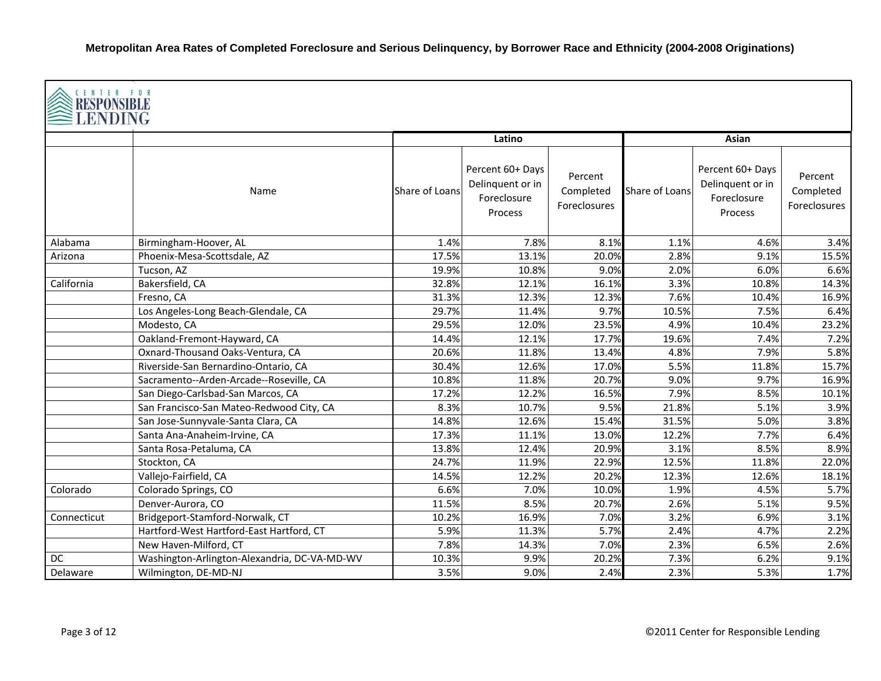|             | CENTER FOR<br><b>RESPONSIBLE</b><br>≣LENDING |                |                                                                |                                      |                |                                                                |                                      |  |  |  |
|-------------|----------------------------------------------|----------------|----------------------------------------------------------------|--------------------------------------|----------------|----------------------------------------------------------------|--------------------------------------|--|--|--|
|             |                                              |                | Latino                                                         |                                      |                | Asian                                                          |                                      |  |  |  |
|             | Name                                         | Share of Loans | Percent 60+ Days<br>Delinquent or in<br>Foreclosure<br>Process | Percent<br>Completed<br>Foreclosures | Share of Loans | Percent 60+ Days<br>Delinquent or in<br>Foreclosure<br>Process | Percent<br>Completed<br>Foreclosures |  |  |  |
| Alabama     | Birmingham-Hoover, AL                        | 1.4%           | 7.8%                                                           | 8.1%                                 | 1.1%           | 4.6%                                                           | 3.4%                                 |  |  |  |
| Arizona     | Phoenix-Mesa-Scottsdale, AZ                  | 17.5%          | 13.1%                                                          | 20.0%                                | 2.8%           | 9.1%                                                           | 15.5%                                |  |  |  |
|             | Tucson, AZ                                   | 19.9%          | 10.8%                                                          | 9.0%                                 | 2.0%           | 6.0%                                                           | 6.6%                                 |  |  |  |
| California  | Bakersfield, CA                              | 32.8%          | 12.1%                                                          | 16.1%                                | 3.3%           | 10.8%                                                          | 14.3%                                |  |  |  |
|             | Fresno, CA                                   | 31.3%          | 12.3%                                                          | 12.3%                                | 7.6%           | 10.4%                                                          | 16.9%                                |  |  |  |
|             | Los Angeles-Long Beach-Glendale, CA          | 29.7%          | 11.4%                                                          | 9.7%                                 | 10.5%          | 7.5%                                                           | 6.4%                                 |  |  |  |
|             | Modesto, CA                                  | 29.5%          | 12.0%                                                          | 23.5%                                | 4.9%           | 10.4%                                                          | 23.2%                                |  |  |  |
|             | Oakland-Fremont-Hayward, CA                  | 14.4%          | 12.1%                                                          | 17.7%                                | 19.6%          | 7.4%                                                           | 7.2%                                 |  |  |  |
|             | Oxnard-Thousand Oaks-Ventura, CA             | 20.6%          | 11.8%                                                          | 13.4%                                | 4.8%           | 7.9%                                                           | 5.8%                                 |  |  |  |
|             | Riverside-San Bernardino-Ontario, CA         | 30.4%          | 12.6%                                                          | 17.0%                                | 5.5%           | 11.8%                                                          | 15.7%                                |  |  |  |
|             | Sacramento--Arden-Arcade--Roseville, CA      | 10.8%          | 11.8%                                                          | 20.7%                                | 9.0%           | 9.7%                                                           | 16.9%                                |  |  |  |
|             | San Diego-Carlsbad-San Marcos, CA            | 17.2%          | 12.2%                                                          | 16.5%                                | 7.9%           | 8.5%                                                           | 10.1%                                |  |  |  |
|             | San Francisco-San Mateo-Redwood City, CA     | 8.3%           | 10.7%                                                          | 9.5%                                 | 21.8%          | 5.1%                                                           | 3.9%                                 |  |  |  |
|             | San Jose-Sunnyvale-Santa Clara, CA           | 14.8%          | 12.6%                                                          | 15.4%                                | 31.5%          | 5.0%                                                           | 3.8%                                 |  |  |  |
|             | Santa Ana-Anaheim-Irvine, CA                 | 17.3%          | 11.1%                                                          | 13.0%                                | 12.2%          | 7.7%                                                           | 6.4%                                 |  |  |  |
|             | Santa Rosa-Petaluma, CA                      | 13.8%          | 12.4%                                                          | 20.9%                                | 3.1%           | 8.5%                                                           | 8.9%                                 |  |  |  |
|             | Stockton, CA                                 | 24.7%          | 11.9%                                                          | 22.9%                                | 12.5%          | 11.8%                                                          | 22.0%                                |  |  |  |
|             | Vallejo-Fairfield, CA                        | 14.5%          | 12.2%                                                          | 20.2%                                | 12.3%          | 12.6%                                                          | 18.1%                                |  |  |  |
| Colorado    | Colorado Springs, CO                         | 6.6%           | 7.0%                                                           | 10.0%                                | 1.9%           | 4.5%                                                           | 5.7%                                 |  |  |  |
|             | Denver-Aurora, CO                            | 11.5%          | 8.5%                                                           | 20.7%                                | 2.6%           | 5.1%                                                           | 9.5%                                 |  |  |  |
| Connecticut | Bridgeport-Stamford-Norwalk, CT              | 10.2%          | 16.9%                                                          | 7.0%                                 | 3.2%           | 6.9%                                                           | 3.1%                                 |  |  |  |
|             | Hartford-West Hartford-East Hartford, CT     | 5.9%           | 11.3%                                                          | 5.7%                                 | 2.4%           | 4.7%                                                           | 2.2%                                 |  |  |  |
|             | New Haven-Milford, CT                        | 7.8%           | 14.3%                                                          | 7.0%                                 | 2.3%           | 6.5%                                                           | 2.6%                                 |  |  |  |
| DC          | Washington-Arlington-Alexandria, DC-VA-MD-WV | 10.3%          | 9.9%                                                           | 20.2%                                | 7.3%           | 6.2%                                                           | 9.1%                                 |  |  |  |
| Delaware    | Wilmington, DE-MD-NJ                         | 3.5%           | 9.0%                                                           | 2.4%                                 | 2.3%           | 5.3%                                                           | 1.7%                                 |  |  |  |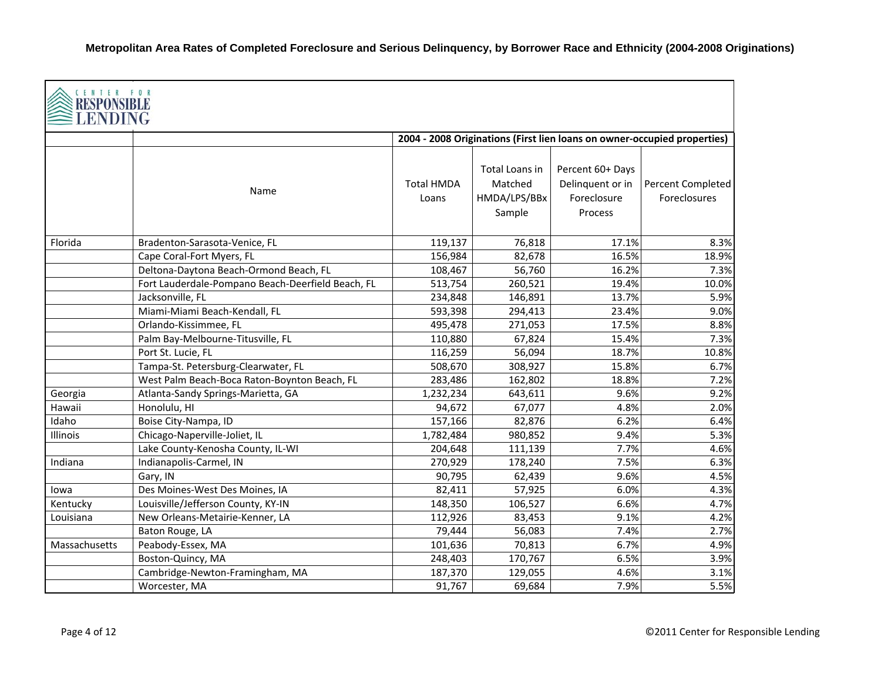| CENTER FOR<br><b>RESPONSIBI</b><br>ENDING |                                                   |                            |                                                            |                                                                          |                                   |
|-------------------------------------------|---------------------------------------------------|----------------------------|------------------------------------------------------------|--------------------------------------------------------------------------|-----------------------------------|
|                                           |                                                   |                            |                                                            | 2004 - 2008 Originations (First lien loans on owner-occupied properties) |                                   |
|                                           | Name                                              | <b>Total HMDA</b><br>Loans | <b>Total Loans in</b><br>Matched<br>HMDA/LPS/BBx<br>Sample | Percent 60+ Days<br>Delinquent or in<br>Foreclosure<br>Process           | Percent Completed<br>Foreclosures |
| Florida                                   | Bradenton-Sarasota-Venice, FL                     | 119,137                    | 76,818                                                     | 17.1%                                                                    | 8.3%                              |
|                                           | Cape Coral-Fort Myers, FL                         | 156,984                    | 82,678                                                     | 16.5%                                                                    | 18.9%                             |
|                                           | Deltona-Daytona Beach-Ormond Beach, FL            | 108,467                    | 56,760                                                     | 16.2%                                                                    | 7.3%                              |
|                                           | Fort Lauderdale-Pompano Beach-Deerfield Beach, FL | 513,754                    | 260,521                                                    | 19.4%                                                                    | 10.0%                             |
|                                           | Jacksonville, FL                                  | 234,848                    | 146,891                                                    | 13.7%                                                                    | 5.9%                              |
|                                           | Miami-Miami Beach-Kendall, FL                     | 593,398                    | 294,413                                                    | 23.4%                                                                    | 9.0%                              |
|                                           | Orlando-Kissimmee, FL                             | 495,478                    | 271,053                                                    | 17.5%                                                                    | 8.8%                              |
|                                           | Palm Bay-Melbourne-Titusville, FL                 | 110,880                    | 67,824                                                     | 15.4%                                                                    | 7.3%                              |
|                                           | Port St. Lucie, FL                                | 116,259                    | 56,094                                                     | 18.7%                                                                    | 10.8%                             |
|                                           | Tampa-St. Petersburg-Clearwater, FL               | 508,670                    | 308,927                                                    | 15.8%                                                                    | 6.7%                              |
|                                           | West Palm Beach-Boca Raton-Boynton Beach, FL      | 283,486                    | 162,802                                                    | 18.8%                                                                    | 7.2%                              |
| Georgia                                   | Atlanta-Sandy Springs-Marietta, GA                | 1,232,234                  | 643,611                                                    | 9.6%                                                                     | 9.2%                              |
| Hawaii                                    | Honolulu, HI                                      | 94,672                     | 67,077                                                     | 4.8%                                                                     | 2.0%                              |
| Idaho                                     | Boise City-Nampa, ID                              | 157,166                    | 82,876                                                     | 6.2%                                                                     | 6.4%                              |
| Illinois                                  | Chicago-Naperville-Joliet, IL                     | 1,782,484                  | 980,852                                                    | 9.4%                                                                     | 5.3%                              |
|                                           | Lake County-Kenosha County, IL-WI                 | 204,648                    | 111,139                                                    | 7.7%                                                                     | 4.6%                              |
| Indiana                                   | Indianapolis-Carmel, IN                           | 270,929                    | 178,240                                                    | 7.5%                                                                     | 6.3%                              |
|                                           | Gary, IN                                          | 90,795                     | 62,439                                                     | 9.6%                                                                     | 4.5%                              |
| lowa                                      | Des Moines-West Des Moines, IA                    | 82,411                     | 57,925                                                     | 6.0%                                                                     | 4.3%                              |
| Kentucky                                  | Louisville/Jefferson County, KY-IN                | 148,350                    | 106,527                                                    | 6.6%                                                                     | 4.7%                              |
| Louisiana                                 | New Orleans-Metairie-Kenner, LA                   | 112,926                    | 83,453                                                     | 9.1%                                                                     | 4.2%                              |
|                                           | Baton Rouge, LA                                   | 79,444                     | 56,083                                                     | 7.4%                                                                     | 2.7%                              |
| Massachusetts                             | Peabody-Essex, MA                                 | 101,636                    | 70,813                                                     | 6.7%                                                                     | 4.9%                              |
|                                           | Boston-Quincy, MA                                 | 248,403                    | 170,767                                                    | 6.5%                                                                     | 3.9%                              |
|                                           | Cambridge-Newton-Framingham, MA                   | 187,370                    | 129,055                                                    | 4.6%                                                                     | 3.1%                              |
|                                           | Worcester, MA                                     | 91,767                     | 69,684                                                     | 7.9%                                                                     | 5.5%                              |

Г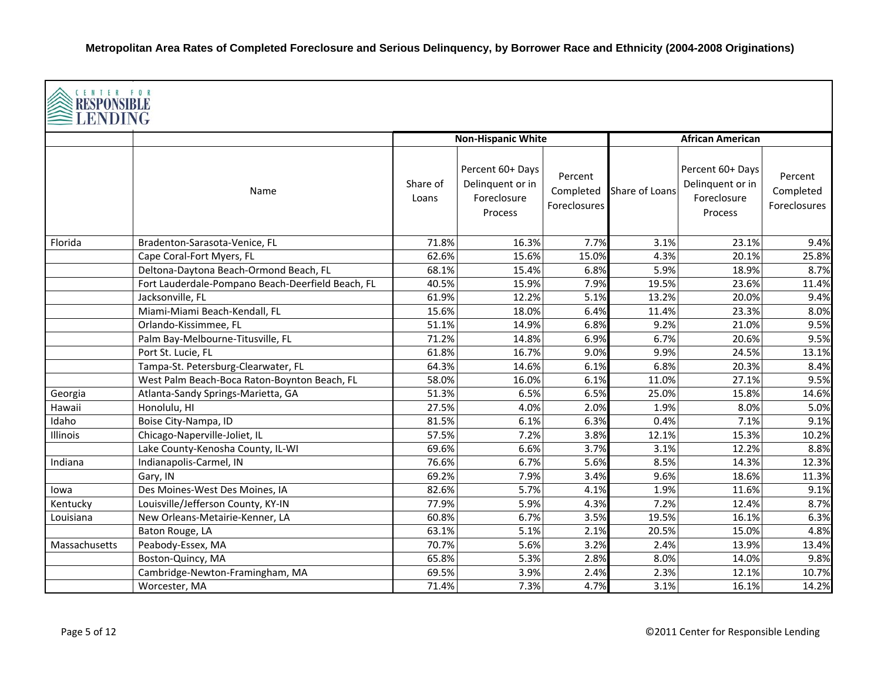| CENTER FOR<br><b>RESPONSIBLI</b><br>LENDING |                                                   |                   |                                                                |                                      |                |                                                                |                                      |  |  |
|---------------------------------------------|---------------------------------------------------|-------------------|----------------------------------------------------------------|--------------------------------------|----------------|----------------------------------------------------------------|--------------------------------------|--|--|
|                                             |                                                   |                   | <b>Non-Hispanic White</b>                                      |                                      |                | <b>African American</b>                                        |                                      |  |  |
|                                             | Name                                              | Share of<br>Loans | Percent 60+ Days<br>Delinquent or in<br>Foreclosure<br>Process | Percent<br>Completed<br>Foreclosures | Share of Loans | Percent 60+ Days<br>Delinquent or in<br>Foreclosure<br>Process | Percent<br>Completed<br>Foreclosures |  |  |
| Florida                                     | Bradenton-Sarasota-Venice, FL                     | 71.8%             | 16.3%                                                          | 7.7%                                 | 3.1%           | 23.1%                                                          | 9.4%                                 |  |  |
|                                             | Cape Coral-Fort Myers, FL                         | 62.6%             | 15.6%                                                          | 15.0%                                | 4.3%           | 20.1%                                                          | 25.8%                                |  |  |
|                                             | Deltona-Daytona Beach-Ormond Beach, FL            | 68.1%             | 15.4%                                                          | 6.8%                                 | 5.9%           | 18.9%                                                          | 8.7%                                 |  |  |
|                                             | Fort Lauderdale-Pompano Beach-Deerfield Beach, FL | 40.5%             | 15.9%                                                          | 7.9%                                 | 19.5%          | 23.6%                                                          | 11.4%                                |  |  |
|                                             | Jacksonville, FL                                  | 61.9%             | 12.2%                                                          | 5.1%                                 | 13.2%          | 20.0%                                                          | 9.4%                                 |  |  |
|                                             | Miami-Miami Beach-Kendall, FL                     | 15.6%             | 18.0%                                                          | 6.4%                                 | 11.4%          | 23.3%                                                          | 8.0%                                 |  |  |
|                                             | Orlando-Kissimmee, FL                             | 51.1%             | 14.9%                                                          | 6.8%                                 | 9.2%           | 21.0%                                                          | 9.5%                                 |  |  |
|                                             | Palm Bay-Melbourne-Titusville, FL                 | 71.2%             | 14.8%                                                          | 6.9%                                 | 6.7%           | 20.6%                                                          | 9.5%                                 |  |  |
|                                             | Port St. Lucie, FL                                | 61.8%             | 16.7%                                                          | 9.0%                                 | 9.9%           | 24.5%                                                          | 13.1%                                |  |  |
|                                             | Tampa-St. Petersburg-Clearwater, FL               | 64.3%             | 14.6%                                                          | 6.1%                                 | 6.8%           | 20.3%                                                          | 8.4%                                 |  |  |
|                                             | West Palm Beach-Boca Raton-Boynton Beach, FL      | 58.0%             | 16.0%                                                          | 6.1%                                 | 11.0%          | 27.1%                                                          | 9.5%                                 |  |  |
| Georgia                                     | Atlanta-Sandy Springs-Marietta, GA                | 51.3%             | 6.5%                                                           | 6.5%                                 | 25.0%          | 15.8%                                                          | 14.6%                                |  |  |
| Hawaii                                      | Honolulu, HI                                      | 27.5%             | 4.0%                                                           | 2.0%                                 | 1.9%           | 8.0%                                                           | 5.0%                                 |  |  |
| Idaho                                       | Boise City-Nampa, ID                              | 81.5%             | 6.1%                                                           | 6.3%                                 | 0.4%           | 7.1%                                                           | 9.1%                                 |  |  |
| Illinois                                    | Chicago-Naperville-Joliet, IL                     | 57.5%             | 7.2%                                                           | 3.8%                                 | 12.1%          | 15.3%                                                          | 10.2%                                |  |  |
|                                             | Lake County-Kenosha County, IL-WI                 | 69.6%             | 6.6%                                                           | 3.7%                                 | 3.1%           | 12.2%                                                          | 8.8%                                 |  |  |
| Indiana                                     | Indianapolis-Carmel, IN                           | 76.6%             | 6.7%                                                           | 5.6%                                 | 8.5%           | 14.3%                                                          | 12.3%                                |  |  |
|                                             | Gary, IN                                          | 69.2%             | 7.9%                                                           | 3.4%                                 | 9.6%           | 18.6%                                                          | 11.3%                                |  |  |
| lowa                                        | Des Moines-West Des Moines, IA                    | 82.6%             | 5.7%                                                           | 4.1%                                 | 1.9%           | 11.6%                                                          | 9.1%                                 |  |  |
| Kentucky                                    | Louisville/Jefferson County, KY-IN                | 77.9%             | 5.9%                                                           | 4.3%                                 | 7.2%           | 12.4%                                                          | 8.7%                                 |  |  |
| Louisiana                                   | New Orleans-Metairie-Kenner, LA                   | 60.8%             | 6.7%                                                           | 3.5%                                 | 19.5%          | 16.1%                                                          | 6.3%                                 |  |  |
|                                             | Baton Rouge, LA                                   | 63.1%             | 5.1%                                                           | 2.1%                                 | 20.5%          | 15.0%                                                          | 4.8%                                 |  |  |
| Massachusetts                               | Peabody-Essex, MA                                 | 70.7%             | 5.6%                                                           | 3.2%                                 | 2.4%           | 13.9%                                                          | 13.4%                                |  |  |
|                                             | Boston-Quincy, MA                                 | 65.8%             | 5.3%                                                           | 2.8%                                 | 8.0%           | 14.0%                                                          | 9.8%                                 |  |  |
|                                             | Cambridge-Newton-Framingham, MA                   | 69.5%             | 3.9%                                                           | 2.4%                                 | 2.3%           | 12.1%                                                          | 10.7%                                |  |  |
|                                             | Worcester, MA                                     | 71.4%             | 7.3%                                                           | 4.7%                                 | 3.1%           | 16.1%                                                          | 14.2%                                |  |  |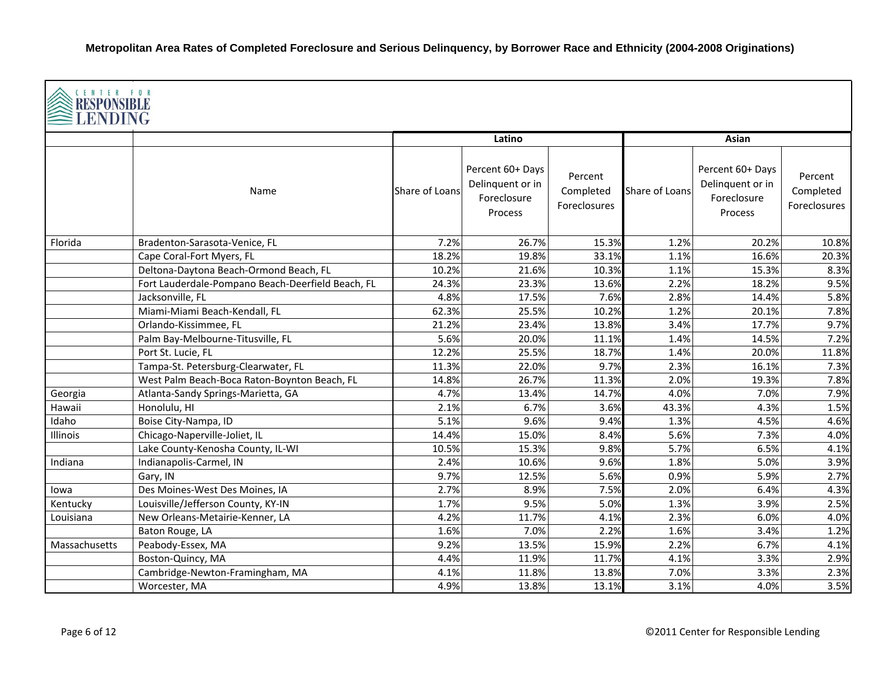| CENTER FOR<br><b>RESPONSIBLE</b><br><b>LENDING</b> |                                                   |                |                                                                |                                      |                |                                                                |                                      |  |  |
|----------------------------------------------------|---------------------------------------------------|----------------|----------------------------------------------------------------|--------------------------------------|----------------|----------------------------------------------------------------|--------------------------------------|--|--|
|                                                    |                                                   |                | Latino                                                         |                                      |                | Asian                                                          |                                      |  |  |
|                                                    | Name                                              | Share of Loans | Percent 60+ Days<br>Delinquent or in<br>Foreclosure<br>Process | Percent<br>Completed<br>Foreclosures | Share of Loans | Percent 60+ Days<br>Delinquent or in<br>Foreclosure<br>Process | Percent<br>Completed<br>Foreclosures |  |  |
| Florida                                            | Bradenton-Sarasota-Venice, FL                     | 7.2%           | 26.7%                                                          | 15.3%                                | 1.2%           | 20.2%                                                          | 10.8%                                |  |  |
|                                                    | Cape Coral-Fort Myers, FL                         | 18.2%          | 19.8%                                                          | 33.1%                                | 1.1%           | 16.6%                                                          | 20.3%                                |  |  |
|                                                    | Deltona-Daytona Beach-Ormond Beach, FL            | 10.2%          | 21.6%                                                          | 10.3%                                | 1.1%           | 15.3%                                                          | 8.3%                                 |  |  |
|                                                    | Fort Lauderdale-Pompano Beach-Deerfield Beach, FL | 24.3%          | 23.3%                                                          | 13.6%                                | 2.2%           | 18.2%                                                          | 9.5%                                 |  |  |
|                                                    | Jacksonville, FL                                  | 4.8%           | 17.5%                                                          | 7.6%                                 | 2.8%           | 14.4%                                                          | 5.8%                                 |  |  |
|                                                    | Miami-Miami Beach-Kendall, FL                     | 62.3%          | 25.5%                                                          | 10.2%                                | 1.2%           | 20.1%                                                          | 7.8%                                 |  |  |
|                                                    | Orlando-Kissimmee, FL                             | 21.2%          | 23.4%                                                          | 13.8%                                | 3.4%           | 17.7%                                                          | 9.7%                                 |  |  |
|                                                    | Palm Bay-Melbourne-Titusville, FL                 | 5.6%           | 20.0%                                                          | 11.1%                                | 1.4%           | 14.5%                                                          | 7.2%                                 |  |  |
|                                                    | Port St. Lucie, FL                                | 12.2%          | 25.5%                                                          | 18.7%                                | 1.4%           | 20.0%                                                          | 11.8%                                |  |  |
|                                                    | Tampa-St. Petersburg-Clearwater, FL               | 11.3%          | 22.0%                                                          | 9.7%                                 | 2.3%           | 16.1%                                                          | 7.3%                                 |  |  |
|                                                    | West Palm Beach-Boca Raton-Boynton Beach, FL      | 14.8%          | 26.7%                                                          | 11.3%                                | 2.0%           | 19.3%                                                          | 7.8%                                 |  |  |
| Georgia                                            | Atlanta-Sandy Springs-Marietta, GA                | 4.7%           | 13.4%                                                          | 14.7%                                | 4.0%           | 7.0%                                                           | 7.9%                                 |  |  |
| Hawaii                                             | Honolulu, HI                                      | 2.1%           | 6.7%                                                           | 3.6%                                 | 43.3%          | 4.3%                                                           | 1.5%                                 |  |  |
| Idaho                                              | Boise City-Nampa, ID                              | 5.1%           | 9.6%                                                           | 9.4%                                 | 1.3%           | 4.5%                                                           | 4.6%                                 |  |  |
| Illinois                                           | Chicago-Naperville-Joliet, IL                     | 14.4%          | 15.0%                                                          | 8.4%                                 | 5.6%           | 7.3%                                                           | 4.0%                                 |  |  |
|                                                    | Lake County-Kenosha County, IL-WI                 | 10.5%          | 15.3%                                                          | 9.8%                                 | 5.7%           | 6.5%                                                           | 4.1%                                 |  |  |
| Indiana                                            | Indianapolis-Carmel, IN                           | 2.4%           | 10.6%                                                          | 9.6%                                 | 1.8%           | 5.0%                                                           | 3.9%                                 |  |  |
|                                                    | Gary, IN                                          | 9.7%           | 12.5%                                                          | 5.6%                                 | 0.9%           | 5.9%                                                           | 2.7%                                 |  |  |
| lowa                                               | Des Moines-West Des Moines, IA                    | 2.7%           | 8.9%                                                           | 7.5%                                 | 2.0%           | 6.4%                                                           | 4.3%                                 |  |  |
| Kentucky                                           | Louisville/Jefferson County, KY-IN                | 1.7%           | 9.5%                                                           | 5.0%                                 | 1.3%           | 3.9%                                                           | 2.5%                                 |  |  |
| Louisiana                                          | New Orleans-Metairie-Kenner, LA                   | 4.2%           | 11.7%                                                          | 4.1%                                 | 2.3%           | 6.0%                                                           | 4.0%                                 |  |  |
|                                                    | Baton Rouge, LA                                   | 1.6%           | 7.0%                                                           | 2.2%                                 | 1.6%           | 3.4%                                                           | 1.2%                                 |  |  |
| Massachusetts                                      | Peabody-Essex, MA                                 | 9.2%           | 13.5%                                                          | 15.9%                                | 2.2%           | 6.7%                                                           | 4.1%                                 |  |  |
|                                                    | Boston-Quincy, MA                                 | 4.4%           | 11.9%                                                          | 11.7%                                | 4.1%           | 3.3%                                                           | 2.9%                                 |  |  |
|                                                    | Cambridge-Newton-Framingham, MA                   | 4.1%           | 11.8%                                                          | 13.8%                                | 7.0%           | 3.3%                                                           | 2.3%                                 |  |  |
|                                                    | Worcester, MA                                     | 4.9%           | 13.8%                                                          | 13.1%                                | 3.1%           | 4.0%                                                           | 3.5%                                 |  |  |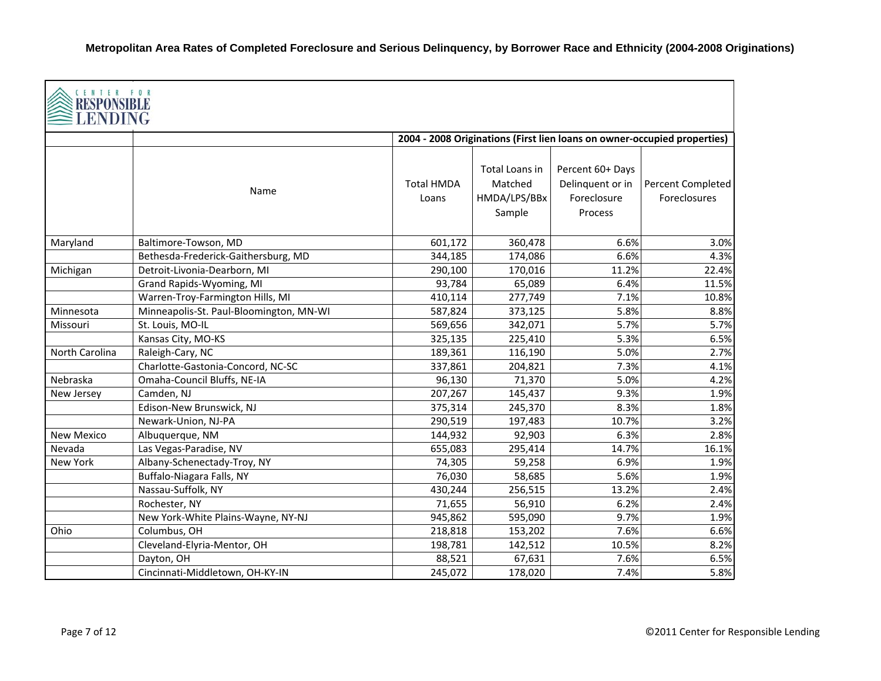| CENTER FOR<br>RESPONSIBLE<br>LENDING |                                         |                            |                                                     |                                                                |                                                                          |
|--------------------------------------|-----------------------------------------|----------------------------|-----------------------------------------------------|----------------------------------------------------------------|--------------------------------------------------------------------------|
|                                      |                                         |                            |                                                     |                                                                | 2004 - 2008 Originations (First lien loans on owner-occupied properties) |
|                                      | Name                                    | <b>Total HMDA</b><br>Loans | Total Loans in<br>Matched<br>HMDA/LPS/BBx<br>Sample | Percent 60+ Days<br>Delinquent or in<br>Foreclosure<br>Process | Percent Completed<br>Foreclosures                                        |
| Maryland                             | Baltimore-Towson, MD                    | 601,172                    | 360,478                                             | 6.6%                                                           | 3.0%                                                                     |
|                                      | Bethesda-Frederick-Gaithersburg, MD     | 344,185                    | 174,086                                             | 6.6%                                                           | 4.3%                                                                     |
| Michigan                             | Detroit-Livonia-Dearborn, MI            | 290,100                    | 170,016                                             | 11.2%                                                          | 22.4%                                                                    |
|                                      | Grand Rapids-Wyoming, MI                | 93,784                     | 65,089                                              | 6.4%                                                           | 11.5%                                                                    |
|                                      | Warren-Troy-Farmington Hills, MI        | 410,114                    | 277,749                                             | 7.1%                                                           | 10.8%                                                                    |
| Minnesota                            | Minneapolis-St. Paul-Bloomington, MN-WI | 587,824                    | 373,125                                             | 5.8%                                                           | 8.8%                                                                     |
| Missouri                             | St. Louis, MO-IL                        | 569,656                    | 342,071                                             | 5.7%                                                           | 5.7%                                                                     |
|                                      | Kansas City, MO-KS                      | 325,135                    | 225,410                                             | 5.3%                                                           | 6.5%                                                                     |
| North Carolina                       | Raleigh-Cary, NC                        | 189,361                    | 116,190                                             | 5.0%                                                           | 2.7%                                                                     |
|                                      | Charlotte-Gastonia-Concord, NC-SC       | 337,861                    | 204,821                                             | 7.3%                                                           | 4.1%                                                                     |
| Nebraska                             | Omaha-Council Bluffs, NE-IA             | 96,130                     | 71,370                                              | 5.0%                                                           | 4.2%                                                                     |
| New Jersey                           | Camden, NJ                              | 207,267                    | 145,437                                             | 9.3%                                                           | 1.9%                                                                     |
|                                      | Edison-New Brunswick, NJ                | 375,314                    | 245,370                                             | 8.3%                                                           | 1.8%                                                                     |
|                                      | Newark-Union, NJ-PA                     | 290,519                    | 197,483                                             | 10.7%                                                          | 3.2%                                                                     |
| <b>New Mexico</b>                    | Albuquerque, NM                         | 144,932                    | 92,903                                              | 6.3%                                                           | 2.8%                                                                     |
| Nevada                               | Las Vegas-Paradise, NV                  | 655,083                    | 295,414                                             | 14.7%                                                          | 16.1%                                                                    |
| New York                             | Albany-Schenectady-Troy, NY             | 74,305                     | 59,258                                              | 6.9%                                                           | 1.9%                                                                     |
|                                      | Buffalo-Niagara Falls, NY               | 76,030                     | 58,685                                              | 5.6%                                                           | 1.9%                                                                     |
|                                      | Nassau-Suffolk, NY                      | 430,244                    | 256,515                                             | 13.2%                                                          | 2.4%                                                                     |
|                                      | Rochester, NY                           | 71,655                     | 56,910                                              | 6.2%                                                           | 2.4%                                                                     |
|                                      | New York-White Plains-Wayne, NY-NJ      | 945,862                    | 595,090                                             | 9.7%                                                           | 1.9%                                                                     |
| Ohio                                 | Columbus, OH                            | 218,818                    | 153,202                                             | 7.6%                                                           | 6.6%                                                                     |
|                                      | Cleveland-Elyria-Mentor, OH             | 198,781                    | 142,512                                             | 10.5%                                                          | 8.2%                                                                     |
|                                      | Dayton, OH                              | 88,521                     | 67,631                                              | 7.6%                                                           | 6.5%                                                                     |
|                                      | Cincinnati-Middletown, OH-KY-IN         | 245,072                    | 178,020                                             | 7.4%                                                           | 5.8%                                                                     |

┑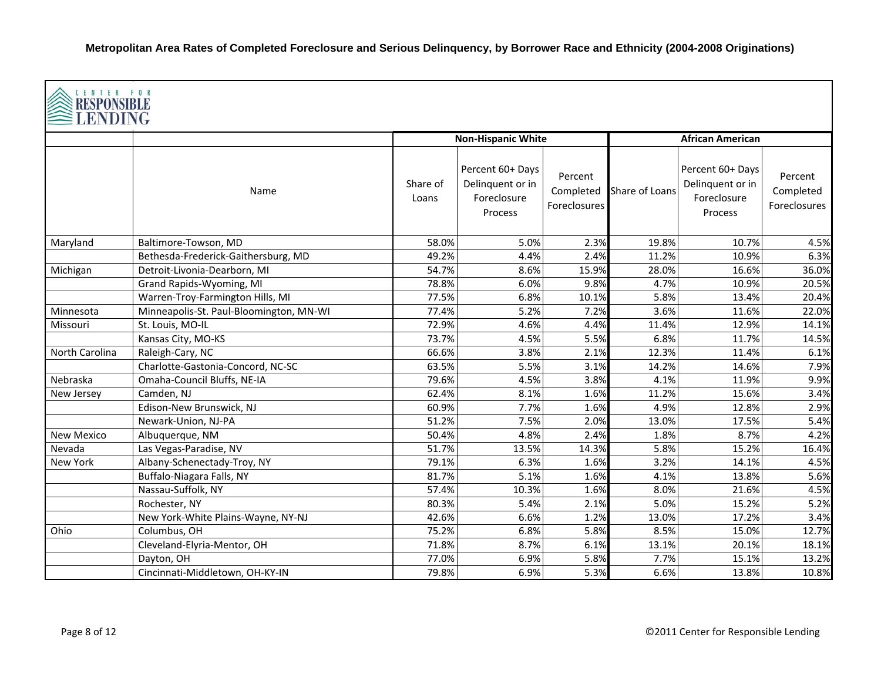| CENTER FOR<br>RESPONSIBLE<br>LENDING |                                         |                   |                                                                |                                      |                |                                                                |                                      |  |  |
|--------------------------------------|-----------------------------------------|-------------------|----------------------------------------------------------------|--------------------------------------|----------------|----------------------------------------------------------------|--------------------------------------|--|--|
|                                      |                                         |                   | <b>Non-Hispanic White</b>                                      |                                      |                | <b>African American</b>                                        |                                      |  |  |
|                                      | Name                                    | Share of<br>Loans | Percent 60+ Days<br>Delinquent or in<br>Foreclosure<br>Process | Percent<br>Completed<br>Foreclosures | Share of Loans | Percent 60+ Days<br>Delinquent or in<br>Foreclosure<br>Process | Percent<br>Completed<br>Foreclosures |  |  |
| Maryland                             | Baltimore-Towson, MD                    | 58.0%             | 5.0%                                                           | 2.3%                                 | 19.8%          | 10.7%                                                          | 4.5%                                 |  |  |
|                                      | Bethesda-Frederick-Gaithersburg, MD     | 49.2%             | 4.4%                                                           | 2.4%                                 | 11.2%          | 10.9%                                                          | 6.3%                                 |  |  |
| Michigan                             | Detroit-Livonia-Dearborn, MI            | 54.7%             | 8.6%                                                           | 15.9%                                | 28.0%          | 16.6%                                                          | 36.0%                                |  |  |
|                                      | Grand Rapids-Wyoming, MI                | 78.8%             | 6.0%                                                           | 9.8%                                 | 4.7%           | 10.9%                                                          | 20.5%                                |  |  |
|                                      | Warren-Troy-Farmington Hills, MI        | 77.5%             | 6.8%                                                           | 10.1%                                | 5.8%           | 13.4%                                                          | 20.4%                                |  |  |
| Minnesota                            | Minneapolis-St. Paul-Bloomington, MN-WI | 77.4%             | 5.2%                                                           | 7.2%                                 | 3.6%           | 11.6%                                                          | 22.0%                                |  |  |
| Missouri                             | St. Louis, MO-IL                        | 72.9%             | 4.6%                                                           | 4.4%                                 | 11.4%          | 12.9%                                                          | 14.1%                                |  |  |
|                                      | Kansas City, MO-KS                      | 73.7%             | 4.5%                                                           | 5.5%                                 | 6.8%           | 11.7%                                                          | 14.5%                                |  |  |
| <b>North Carolina</b>                | Raleigh-Cary, NC                        | 66.6%             | 3.8%                                                           | 2.1%                                 | 12.3%          | 11.4%                                                          | 6.1%                                 |  |  |
|                                      | Charlotte-Gastonia-Concord, NC-SC       | 63.5%             | 5.5%                                                           | 3.1%                                 | 14.2%          | 14.6%                                                          | 7.9%                                 |  |  |
| Nebraska                             | Omaha-Council Bluffs, NE-IA             | 79.6%             | 4.5%                                                           | 3.8%                                 | 4.1%           | 11.9%                                                          | 9.9%                                 |  |  |
| New Jersey                           | Camden, NJ                              | 62.4%             | 8.1%                                                           | 1.6%                                 | 11.2%          | 15.6%                                                          | 3.4%                                 |  |  |
|                                      | Edison-New Brunswick, NJ                | 60.9%             | 7.7%                                                           | 1.6%                                 | 4.9%           | 12.8%                                                          | 2.9%                                 |  |  |
|                                      | Newark-Union, NJ-PA                     | 51.2%             | 7.5%                                                           | 2.0%                                 | 13.0%          | 17.5%                                                          | 5.4%                                 |  |  |
| <b>New Mexico</b>                    | Albuquerque, NM                         | 50.4%             | 4.8%                                                           | 2.4%                                 | 1.8%           | 8.7%                                                           | 4.2%                                 |  |  |
| Nevada                               | Las Vegas-Paradise, NV                  | 51.7%             | 13.5%                                                          | 14.3%                                | 5.8%           | 15.2%                                                          | 16.4%                                |  |  |
| New York                             | Albany-Schenectady-Troy, NY             | 79.1%             | 6.3%                                                           | 1.6%                                 | 3.2%           | 14.1%                                                          | 4.5%                                 |  |  |
|                                      | Buffalo-Niagara Falls, NY               | 81.7%             | 5.1%                                                           | 1.6%                                 | 4.1%           | 13.8%                                                          | 5.6%                                 |  |  |
|                                      | Nassau-Suffolk, NY                      | 57.4%             | 10.3%                                                          | 1.6%                                 | 8.0%           | 21.6%                                                          | 4.5%                                 |  |  |
|                                      | Rochester, NY                           | 80.3%             | 5.4%                                                           | 2.1%                                 | 5.0%           | 15.2%                                                          | 5.2%                                 |  |  |
|                                      | New York-White Plains-Wayne, NY-NJ      | 42.6%             | 6.6%                                                           | 1.2%                                 | 13.0%          | 17.2%                                                          | 3.4%                                 |  |  |
| Ohio                                 | Columbus, OH                            | 75.2%             | 6.8%                                                           | 5.8%                                 | 8.5%           | 15.0%                                                          | 12.7%                                |  |  |
|                                      | Cleveland-Elyria-Mentor, OH             | 71.8%             | 8.7%                                                           | 6.1%                                 | 13.1%          | 20.1%                                                          | 18.1%                                |  |  |
|                                      | Dayton, OH                              | 77.0%             | 6.9%                                                           | 5.8%                                 | 7.7%           | 15.1%                                                          | 13.2%                                |  |  |
|                                      | Cincinnati-Middletown, OH-KY-IN         | 79.8%             | 6.9%                                                           | 5.3%                                 | 6.6%           | 13.8%                                                          | 10.8%                                |  |  |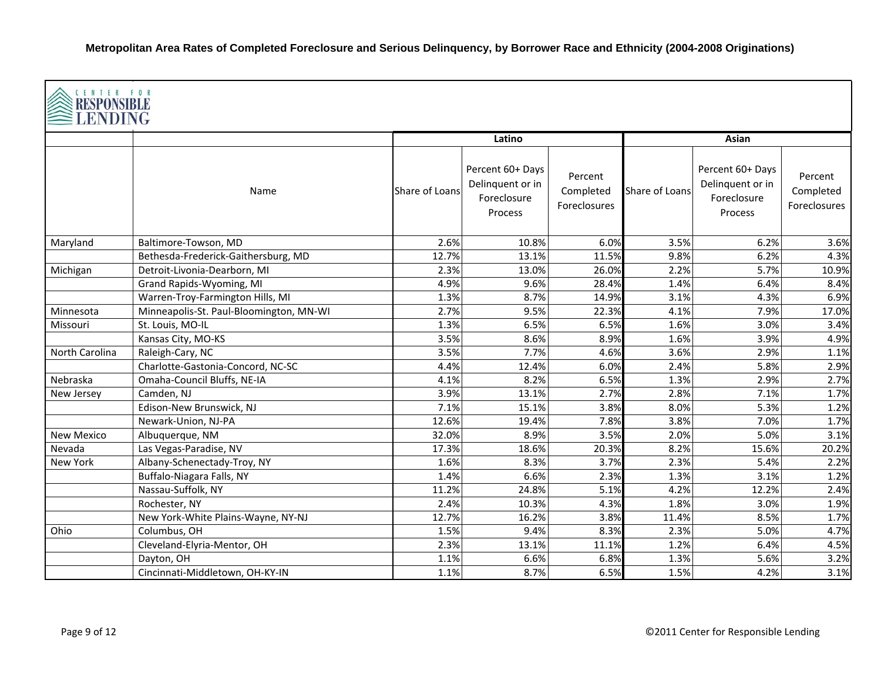| CENTER FOR<br><b>RESPONSIBLE</b><br><b>LENDING</b> |                                         |                |                                                                |                                      |                |                                                                |                                      |  |
|----------------------------------------------------|-----------------------------------------|----------------|----------------------------------------------------------------|--------------------------------------|----------------|----------------------------------------------------------------|--------------------------------------|--|
|                                                    |                                         |                | Latino                                                         |                                      |                | Asian                                                          |                                      |  |
|                                                    | Name                                    | Share of Loans | Percent 60+ Days<br>Delinquent or in<br>Foreclosure<br>Process | Percent<br>Completed<br>Foreclosures | Share of Loans | Percent 60+ Days<br>Delinquent or in<br>Foreclosure<br>Process | Percent<br>Completed<br>Foreclosures |  |
| Maryland                                           | Baltimore-Towson, MD                    | 2.6%           | 10.8%                                                          | 6.0%                                 | 3.5%           | 6.2%                                                           | 3.6%                                 |  |
|                                                    | Bethesda-Frederick-Gaithersburg, MD     | 12.7%          | 13.1%                                                          | 11.5%                                | 9.8%           | 6.2%                                                           | 4.3%                                 |  |
| Michigan                                           | Detroit-Livonia-Dearborn, MI            | 2.3%           | 13.0%                                                          | 26.0%                                | 2.2%           | 5.7%                                                           | 10.9%                                |  |
|                                                    | Grand Rapids-Wyoming, MI                | 4.9%           | 9.6%                                                           | 28.4%                                | 1.4%           | 6.4%                                                           | 8.4%                                 |  |
|                                                    | Warren-Troy-Farmington Hills, MI        | 1.3%           | 8.7%                                                           | 14.9%                                | 3.1%           | 4.3%                                                           | 6.9%                                 |  |
| Minnesota                                          | Minneapolis-St. Paul-Bloomington, MN-WI | 2.7%           | 9.5%                                                           | 22.3%                                | 4.1%           | 7.9%                                                           | 17.0%                                |  |
| Missouri                                           | St. Louis, MO-IL                        | 1.3%           | 6.5%                                                           | 6.5%                                 | 1.6%           | 3.0%                                                           | 3.4%                                 |  |
|                                                    | Kansas City, MO-KS                      | 3.5%           | 8.6%                                                           | 8.9%                                 | 1.6%           | 3.9%                                                           | 4.9%                                 |  |
| North Carolina                                     | Raleigh-Cary, NC                        | 3.5%           | 7.7%                                                           | 4.6%                                 | 3.6%           | 2.9%                                                           | 1.1%                                 |  |
|                                                    | Charlotte-Gastonia-Concord, NC-SC       | 4.4%           | 12.4%                                                          | 6.0%                                 | 2.4%           | 5.8%                                                           | 2.9%                                 |  |
| Nebraska                                           | Omaha-Council Bluffs, NE-IA             | 4.1%           | 8.2%                                                           | 6.5%                                 | 1.3%           | 2.9%                                                           | 2.7%                                 |  |
| New Jersey                                         | Camden, NJ                              | 3.9%           | 13.1%                                                          | 2.7%                                 | 2.8%           | 7.1%                                                           | 1.7%                                 |  |
|                                                    | Edison-New Brunswick, NJ                | 7.1%           | 15.1%                                                          | 3.8%                                 | 8.0%           | 5.3%                                                           | 1.2%                                 |  |
|                                                    | Newark-Union, NJ-PA                     | 12.6%          | 19.4%                                                          | 7.8%                                 | 3.8%           | 7.0%                                                           | 1.7%                                 |  |
| <b>New Mexico</b>                                  | Albuquerque, NM                         | 32.0%          | 8.9%                                                           | 3.5%                                 | 2.0%           | 5.0%                                                           | 3.1%                                 |  |
| Nevada                                             | Las Vegas-Paradise, NV                  | 17.3%          | 18.6%                                                          | 20.3%                                | 8.2%           | 15.6%                                                          | 20.2%                                |  |
| <b>New York</b>                                    | Albany-Schenectady-Troy, NY             | 1.6%           | 8.3%                                                           | 3.7%                                 | 2.3%           | 5.4%                                                           | 2.2%                                 |  |
|                                                    | Buffalo-Niagara Falls, NY               | 1.4%           | 6.6%                                                           | 2.3%                                 | 1.3%           | 3.1%                                                           | 1.2%                                 |  |
|                                                    | Nassau-Suffolk, NY                      | 11.2%          | 24.8%                                                          | 5.1%                                 | 4.2%           | 12.2%                                                          | 2.4%                                 |  |
|                                                    | Rochester, NY                           | 2.4%           | 10.3%                                                          | 4.3%                                 | 1.8%           | 3.0%                                                           | 1.9%                                 |  |
|                                                    | New York-White Plains-Wayne, NY-NJ      | 12.7%          | 16.2%                                                          | 3.8%                                 | 11.4%          | 8.5%                                                           | 1.7%                                 |  |
| Ohio                                               | Columbus, OH                            | 1.5%           | 9.4%                                                           | 8.3%                                 | 2.3%           | 5.0%                                                           | 4.7%                                 |  |
|                                                    | Cleveland-Elyria-Mentor, OH             | 2.3%           | 13.1%                                                          | 11.1%                                | 1.2%           | 6.4%                                                           | 4.5%                                 |  |
|                                                    | Dayton, OH                              | 1.1%           | 6.6%                                                           | 6.8%                                 | 1.3%           | 5.6%                                                           | 3.2%                                 |  |
|                                                    | Cincinnati-Middletown, OH-KY-IN         | 1.1%           | 8.7%                                                           | 6.5%                                 | 1.5%           | 4.2%                                                           | 3.1%                                 |  |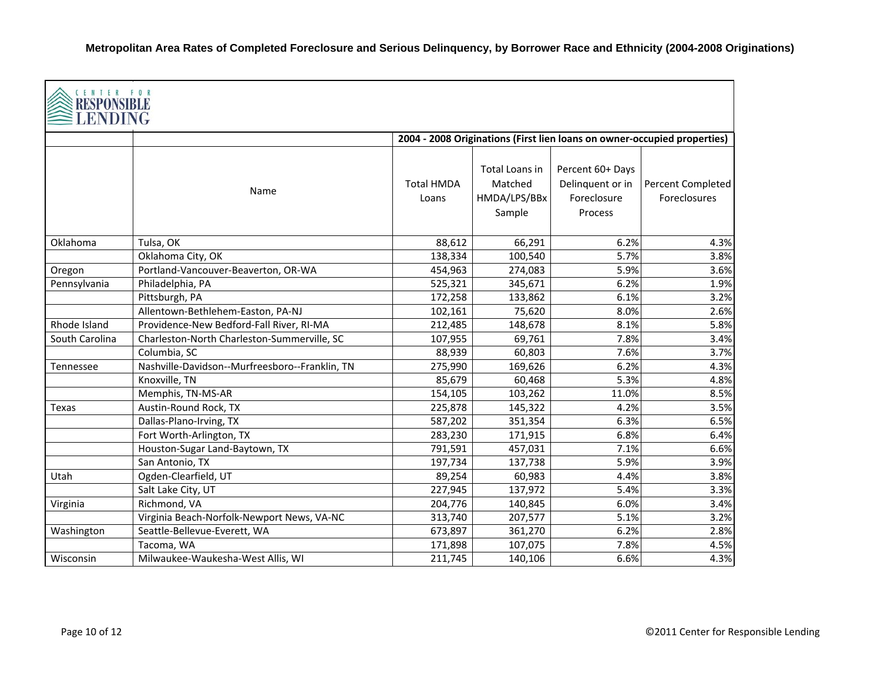| CENTER FOR<br>RESPONSIBLE<br>LENDING |                                                |                            |                                                     |                                                                |                                                                          |
|--------------------------------------|------------------------------------------------|----------------------------|-----------------------------------------------------|----------------------------------------------------------------|--------------------------------------------------------------------------|
|                                      |                                                |                            |                                                     |                                                                | 2004 - 2008 Originations (First lien loans on owner-occupied properties) |
|                                      | Name                                           | <b>Total HMDA</b><br>Loans | Total Loans in<br>Matched<br>HMDA/LPS/BBx<br>Sample | Percent 60+ Days<br>Delinquent or in<br>Foreclosure<br>Process | Percent Completed<br><b>Foreclosures</b>                                 |
| Oklahoma                             | Tulsa, OK                                      | 88,612                     | 66,291                                              | 6.2%                                                           | 4.3%                                                                     |
|                                      | Oklahoma City, OK                              | 138,334                    | 100,540                                             | 5.7%                                                           | 3.8%                                                                     |
| Oregon                               | Portland-Vancouver-Beaverton, OR-WA            | 454,963                    | 274,083                                             | 5.9%                                                           | 3.6%                                                                     |
| Pennsylvania                         | Philadelphia, PA                               | 525,321                    | 345,671                                             | 6.2%                                                           | 1.9%                                                                     |
|                                      | Pittsburgh, PA                                 | 172,258                    | 133,862                                             | 6.1%                                                           | 3.2%                                                                     |
|                                      | Allentown-Bethlehem-Easton, PA-NJ              | 102,161                    | 75,620                                              | 8.0%                                                           | 2.6%                                                                     |
| Rhode Island                         | Providence-New Bedford-Fall River, RI-MA       | 212,485                    | 148,678                                             | 8.1%                                                           | 5.8%                                                                     |
| South Carolina                       | Charleston-North Charleston-Summerville, SC    | 107,955                    | 69,761                                              | 7.8%                                                           | 3.4%                                                                     |
|                                      | Columbia, SC                                   | 88,939                     | 60,803                                              | 7.6%                                                           | 3.7%                                                                     |
| Tennessee                            | Nashville-Davidson--Murfreesboro--Franklin, TN | 275,990                    | 169,626                                             | 6.2%                                                           | 4.3%                                                                     |
|                                      | Knoxville, TN                                  | 85,679                     | 60,468                                              | 5.3%                                                           | 4.8%                                                                     |
|                                      | Memphis, TN-MS-AR                              | 154,105                    | 103,262                                             | 11.0%                                                          | 8.5%                                                                     |
| Texas                                | Austin-Round Rock, TX                          | 225,878                    | 145,322                                             | 4.2%                                                           | 3.5%                                                                     |
|                                      | Dallas-Plano-Irving, TX                        | 587,202                    | 351,354                                             | 6.3%                                                           | 6.5%                                                                     |
|                                      | Fort Worth-Arlington, TX                       | 283,230                    | 171,915                                             | 6.8%                                                           | 6.4%                                                                     |
|                                      | Houston-Sugar Land-Baytown, TX                 | 791,591                    | 457,031                                             | 7.1%                                                           | 6.6%                                                                     |
|                                      | San Antonio, TX                                | 197,734                    | 137,738                                             | 5.9%                                                           | 3.9%                                                                     |
| Utah                                 | Ogden-Clearfield, UT                           | 89,254                     | 60,983                                              | 4.4%                                                           | 3.8%                                                                     |
|                                      | Salt Lake City, UT                             | 227,945                    | 137,972                                             | 5.4%                                                           | 3.3%                                                                     |
| Virginia                             | Richmond, VA                                   | 204,776                    | 140,845                                             | 6.0%                                                           | 3.4%                                                                     |
|                                      | Virginia Beach-Norfolk-Newport News, VA-NC     | 313,740                    | 207,577                                             | 5.1%                                                           | 3.2%                                                                     |
| Washington                           | Seattle-Bellevue-Everett, WA                   | 673,897                    | 361,270                                             | 6.2%                                                           | 2.8%                                                                     |
|                                      | Tacoma, WA                                     | 171,898                    | 107,075                                             | 7.8%                                                           | 4.5%                                                                     |
| Wisconsin                            | Milwaukee-Waukesha-West Allis, WI              | 211,745                    | 140,106                                             | 6.6%                                                           | 4.3%                                                                     |

┑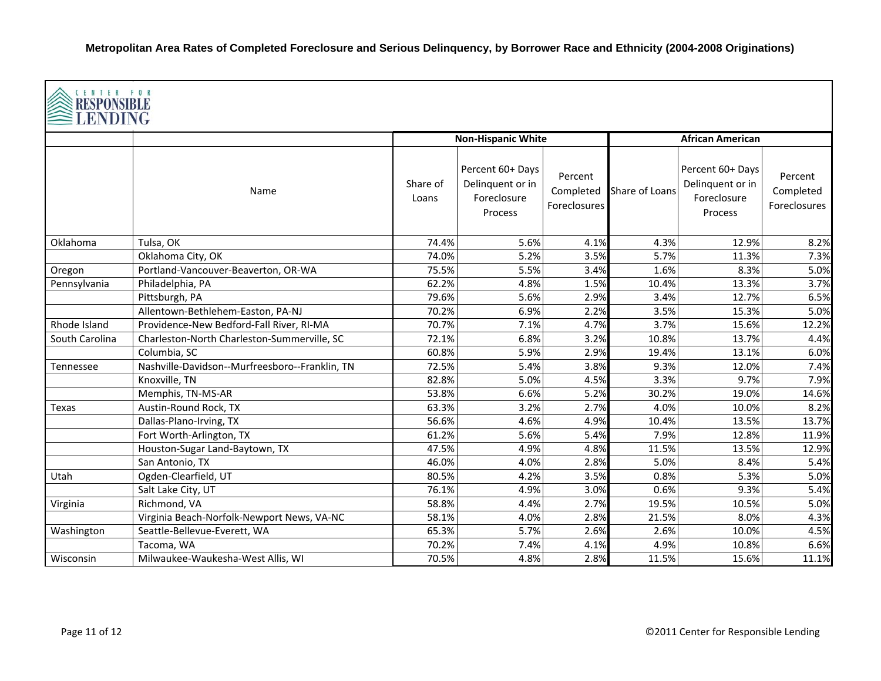| CENTER FOR<br>LENDING |                                                |                   |                                                                |                                      |                |                                                                |                                             |  |  |
|-----------------------|------------------------------------------------|-------------------|----------------------------------------------------------------|--------------------------------------|----------------|----------------------------------------------------------------|---------------------------------------------|--|--|
|                       |                                                |                   | <b>Non-Hispanic White</b>                                      |                                      |                | <b>African American</b>                                        |                                             |  |  |
|                       | Name                                           | Share of<br>Loans | Percent 60+ Days<br>Delinquent or in<br>Foreclosure<br>Process | Percent<br>Completed<br>Foreclosures | Share of Loans | Percent 60+ Days<br>Delinquent or in<br>Foreclosure<br>Process | Percent<br>Completed<br><b>Foreclosures</b> |  |  |
| Oklahoma              | Tulsa, OK                                      | 74.4%             | 5.6%                                                           | 4.1%                                 | 4.3%           | 12.9%                                                          | 8.2%                                        |  |  |
|                       | Oklahoma City, OK                              | 74.0%             | 5.2%                                                           | 3.5%                                 | 5.7%           | 11.3%                                                          | 7.3%                                        |  |  |
| Oregon                | Portland-Vancouver-Beaverton, OR-WA            | 75.5%             | 5.5%                                                           | 3.4%                                 | 1.6%           | 8.3%                                                           | 5.0%                                        |  |  |
| Pennsylvania          | Philadelphia, PA                               | 62.2%             | 4.8%                                                           | 1.5%                                 | 10.4%          | 13.3%                                                          | 3.7%                                        |  |  |
|                       | Pittsburgh, PA                                 | 79.6%             | 5.6%                                                           | 2.9%                                 | 3.4%           | 12.7%                                                          | 6.5%                                        |  |  |
|                       | Allentown-Bethlehem-Easton, PA-NJ              | 70.2%             | 6.9%                                                           | 2.2%                                 | 3.5%           | 15.3%                                                          | 5.0%                                        |  |  |
| Rhode Island          | Providence-New Bedford-Fall River, RI-MA       | 70.7%             | 7.1%                                                           | 4.7%                                 | 3.7%           | 15.6%                                                          | 12.2%                                       |  |  |
| South Carolina        | Charleston-North Charleston-Summerville, SC    | 72.1%             | 6.8%                                                           | 3.2%                                 | 10.8%          | 13.7%                                                          | 4.4%                                        |  |  |
|                       | Columbia, SC                                   | 60.8%             | 5.9%                                                           | 2.9%                                 | 19.4%          | 13.1%                                                          | 6.0%                                        |  |  |
| Tennessee             | Nashville-Davidson--Murfreesboro--Franklin, TN | 72.5%             | 5.4%                                                           | 3.8%                                 | 9.3%           | 12.0%                                                          | 7.4%                                        |  |  |
|                       | Knoxville, TN                                  | 82.8%             | 5.0%                                                           | 4.5%                                 | 3.3%           | 9.7%                                                           | 7.9%                                        |  |  |
|                       | Memphis, TN-MS-AR                              | 53.8%             | 6.6%                                                           | 5.2%                                 | 30.2%          | 19.0%                                                          | 14.6%                                       |  |  |
| Texas                 | Austin-Round Rock, TX                          | 63.3%             | 3.2%                                                           | 2.7%                                 | 4.0%           | 10.0%                                                          | 8.2%                                        |  |  |
|                       | Dallas-Plano-Irving, TX                        | 56.6%             | 4.6%                                                           | 4.9%                                 | 10.4%          | 13.5%                                                          | 13.7%                                       |  |  |
|                       | Fort Worth-Arlington, TX                       | 61.2%             | 5.6%                                                           | 5.4%                                 | 7.9%           | 12.8%                                                          | 11.9%                                       |  |  |
|                       | Houston-Sugar Land-Baytown, TX                 | 47.5%             | 4.9%                                                           | 4.8%                                 | 11.5%          | 13.5%                                                          | 12.9%                                       |  |  |
|                       | San Antonio, TX                                | 46.0%             | 4.0%                                                           | 2.8%                                 | 5.0%           | 8.4%                                                           | 5.4%                                        |  |  |
| Utah                  | Ogden-Clearfield, UT                           | 80.5%             | 4.2%                                                           | 3.5%                                 | 0.8%           | 5.3%                                                           | 5.0%                                        |  |  |
|                       | Salt Lake City, UT                             | 76.1%             | 4.9%                                                           | 3.0%                                 | 0.6%           | 9.3%                                                           | 5.4%                                        |  |  |
| Virginia              | Richmond, VA                                   | 58.8%             | 4.4%                                                           | 2.7%                                 | 19.5%          | 10.5%                                                          | 5.0%                                        |  |  |
|                       | Virginia Beach-Norfolk-Newport News, VA-NC     | 58.1%             | 4.0%                                                           | 2.8%                                 | 21.5%          | 8.0%                                                           | 4.3%                                        |  |  |
| Washington            | Seattle-Bellevue-Everett, WA                   | 65.3%             | 5.7%                                                           | 2.6%                                 | 2.6%           | 10.0%                                                          | 4.5%                                        |  |  |
|                       | Tacoma, WA                                     | 70.2%             | 7.4%                                                           | 4.1%                                 | 4.9%           | 10.8%                                                          | 6.6%                                        |  |  |
| Wisconsin             | Milwaukee-Waukesha-West Allis, WI              | 70.5%             | 4.8%                                                           | 2.8%                                 | 11.5%          | 15.6%                                                          | 11.1%                                       |  |  |

IГ